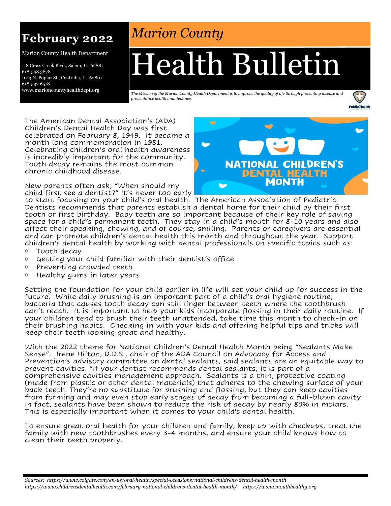### **February 2022**

Marion County Health Department

118 Cross Creek Blvd., Salem, IL 62881 618-548.3878 1013 N. Poplar St., Centralia, IL 62801 618-532.6518 www.marioncountyhealthdept.org

## *Marion County*

# Health Bulletin

*The Mission of the Marion County Health Department is to improve the quality of life through preventing disease and preventative health maintenance.* 



The American Dental Association's (ADA) Children's Dental Health Day was first celebrated on February 8, 1949. It became a month long commemoration in 1981. Celebrating children's oral health awareness is incredibly important for the community. Tooth decay remains the most common chronic childhood disease.

New parents often ask, "When should my child first see a dentist?" It's never too early



to start focusing on your child's oral health. The American Association of Pediatric Dentists recommends that parents establish a dental home for their child by their first tooth or first birthday. Baby teeth are so important because of their key role of saving space for a child's permanent teeth. They stay in a child's mouth for 8-10 years and also affect their speaking, chewing, and of course, smiling. Parents or caregivers are essential and can promote children's dental health this month and throughout the year. Support children's dental health by working with dental professionals on specific topics such as:

- $\Diamond$  Tooth decav
- $\Diamond$  Getting your child familiar with their dentist's office
- $\Diamond$  Preventing crowded teeth
- Healthy gums in later years

Setting the foundation for your child earlier in life will set your child up for success in the future. While daily brushing is an important part of a child's oral hygiene routine, bacteria that causes tooth decay can still linger between teeth where the toothbrush can't reach. It is important to help your kids incorporate flossing in their daily routine. If your children tend to brush their teeth unattended, take time this month to check-in on their brushing habits. Checking in with your kids and offering helpful tips and tricks will keep their teeth looking great and healthy.

With the 2022 theme for National Children's Dental Health Month being "Sealants Make Sense". Irene Hilton, D.D.S., chair of the ADA Council on Advocacy for Access and Prevention's advisory committee on dental sealants, said sealants are an equitable way to prevent cavities. "If your dentist recommends dental sealants, it is part of a comprehensive cavities management approach. Sealants is a thin, protective coating (made from plastic or other dental materials) that adheres to the chewing surface of your back teeth. They're no substitute for brushing and flossing, but they can keep cavities from forming and may even stop early stages of decay from becoming a full-blown cavity. In fact, sealants have been shown to reduce the risk of decay by nearly 80% in molars. This is especially important when it comes to your child's dental health.

To ensure great oral health for your children and family; keep up with checkups, treat the family with new toothbrushes every 3-4 months, and ensure your child knows how to clean their teeth properly.